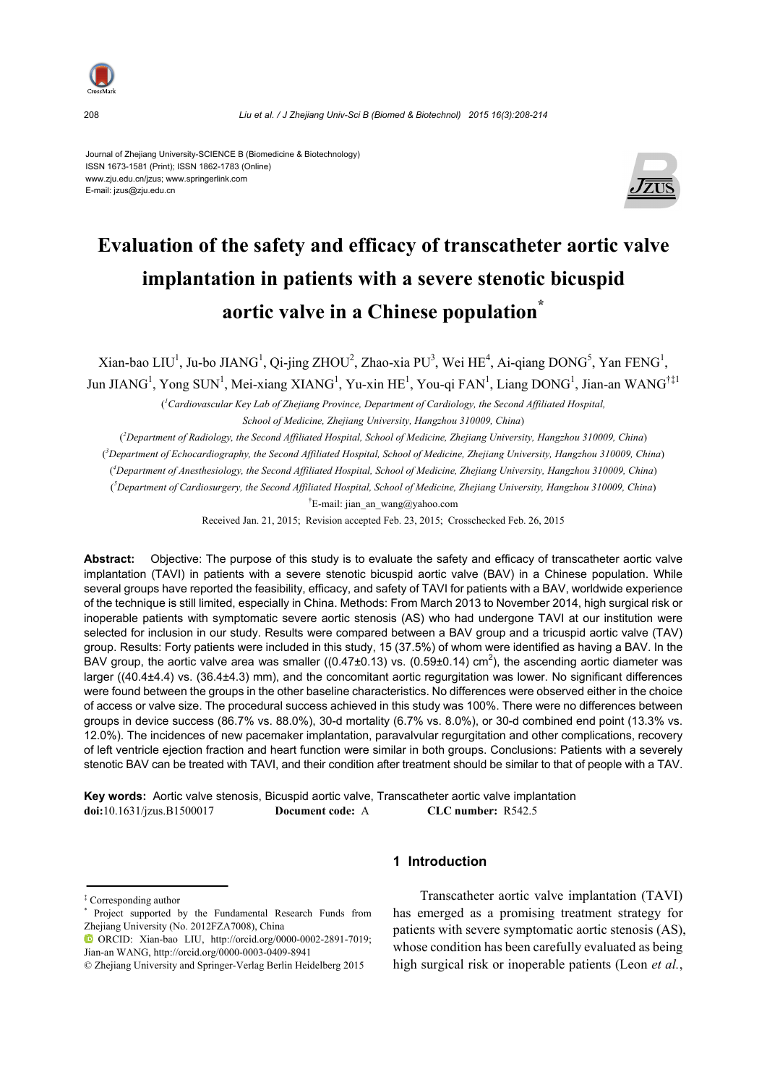

Journal of Zhejiang University-SCIENCE B (Biomedicine & Biotechnology) ISSN 1673-1581 (Print); ISSN 1862-1783 (Online) www.zju.edu.cn/jzus; www.springerlink.com E-mail: jzus@zju.edu.cn



# **Evaluation of the safety and efficacy of transcatheter aortic valve implantation in patients with a severe stenotic bicuspid aortic valve in a Chinese population\***

Xian-bao LIU<sup>1</sup>, Ju-bo JIANG<sup>1</sup>, Qi-jing ZHOU<sup>2</sup>, Zhao-xia PU<sup>3</sup>, Wei HE<sup>4</sup>, Ai-qiang DONG<sup>5</sup>, Yan FENG<sup>1</sup>, Jun JIANG<sup>1</sup>, Yong SUN<sup>1</sup>, Mei-xiang XIANG<sup>1</sup>, Yu-xin HE<sup>1</sup>, You-qi FAN<sup>1</sup>, Liang DONG<sup>1</sup>, Jian-an WANG<sup>†‡1</sup>

( *1 Cardiovascular Key Lab of Zhejiang Province, Department of Cardiology, the Second Affiliated Hospital,* 

*School of Medicine, Zhejiang University, Hangzhou 310009, China*)

( *2 Department of Radiology, the Second Affiliated Hospital, School of Medicine, Zhejiang University, Hangzhou 310009, China*)

( *3 Department of Echocardiography, the Second Affiliated Hospital, School of Medicine, Zhejiang University, Hangzhou 310009, China*)

( *4 Department of Anesthesiology, the Second Affiliated Hospital, School of Medicine, Zhejiang University, Hangzhou 310009, China*)

( *5 Department of Cardiosurgery, the Second Affiliated Hospital, School of Medicine, Zhejiang University, Hangzhou 310009, China*) <sup>†</sup>E-mail: jian\_an\_wang@yahoo.com

Received Jan. 21, 2015; Revision accepted Feb. 23, 2015; Crosschecked Feb. 26, 2015

**Abstract:** Objective: The purpose of this study is to evaluate the safety and efficacy of transcatheter aortic valve implantation (TAVI) in patients with a severe stenotic bicuspid aortic valve (BAV) in a Chinese population. While several groups have reported the feasibility, efficacy, and safety of TAVI for patients with a BAV, worldwide experience of the technique is still limited, especially in China. Methods: From March 2013 to November 2014, high surgical risk or inoperable patients with symptomatic severe aortic stenosis (AS) who had undergone TAVI at our institution were selected for inclusion in our study. Results were compared between a BAV group and a tricuspid aortic valve (TAV) group. Results: Forty patients were included in this study, 15 (37.5%) of whom were identified as having a BAV. In the BAV group, the aortic valve area was smaller ((0.47 $\pm$ 0.13) vs. (0.59 $\pm$ 0.14) cm<sup>2</sup>), the ascending aortic diameter was larger ((40.4±4.4) vs. (36.4±4.3) mm), and the concomitant aortic regurgitation was lower. No significant differences were found between the groups in the other baseline characteristics. No differences were observed either in the choice of access or valve size. The procedural success achieved in this study was 100%. There were no differences between groups in device success (86.7% vs. 88.0%), 30-d mortality (6.7% vs. 8.0%), or 30-d combined end point (13.3% vs. 12.0%). The incidences of new pacemaker implantation, paravalvular regurgitation and other complications, recovery of left ventricle ejection fraction and heart function were similar in both groups. Conclusions: Patients with a severely stenotic BAV can be treated with TAVI, and their condition after treatment should be similar to that of people with a TAV.

**Key words:** Aortic valve stenosis, Bicuspid aortic valve, Transcatheter aortic valve implantation **doi:**10.1631/jzus.B1500017 **Document code:** A **CLC number:** R542.5

# **1 Introduction**

Transcatheter aortic valve implantation (TAVI) has emerged as a promising treatment strategy for patients with severe symptomatic aortic stenosis (AS), whose condition has been carefully evaluated as being high surgical risk or inoperable patients (Leon *et al.*,

<sup>‡</sup> Corresponding author

<sup>\*</sup> Project supported by the Fundamental Research Funds from Zheijang University (No. 2012FZA7008), China

ORCID: Xian-bao LIU, http://orcid.org/0000-0002-2891-7019; Jian-an WANG, http://orcid.org/0000-0003-0409-8941

<sup>©</sup> Zhejiang University and Springer-Verlag Berlin Heidelberg 2015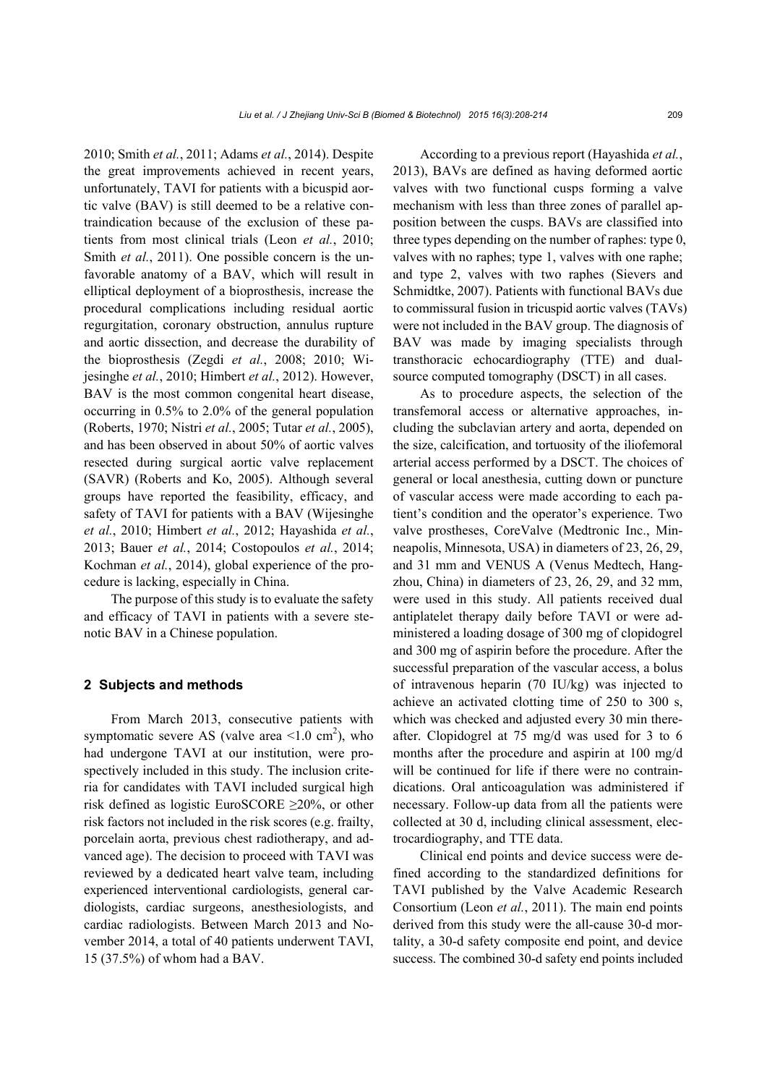*Liu et al. / J Zhejiang Univ-Sci B (Biomed & Biotechnol) 2015 16(3):208-214* 209

2010; Smith *et al.*, 2011; Adams *et al.*, 2014). Despite the great improvements achieved in recent years, unfortunately, TAVI for patients with a bicuspid aortic valve (BAV) is still deemed to be a relative contraindication because of the exclusion of these patients from most clinical trials (Leon *et al.*, 2010; Smith *et al.*, 2011). One possible concern is the unfavorable anatomy of a BAV, which will result in elliptical deployment of a bioprosthesis, increase the procedural complications including residual aortic regurgitation, coronary obstruction, annulus rupture and aortic dissection, and decrease the durability of the bioprosthesis (Zegdi *et al.*, 2008; 2010; Wijesinghe *et al.*, 2010; Himbert *et al.*, 2012). However, BAV is the most common congenital heart disease, occurring in 0.5% to 2.0% of the general population (Roberts, 1970; Nistri *et al.*, 2005; Tutar *et al.*, 2005), and has been observed in about 50% of aortic valves resected during surgical aortic valve replacement (SAVR) (Roberts and Ko, 2005). Although several groups have reported the feasibility, efficacy, and safety of TAVI for patients with a BAV (Wijesinghe *et al.*, 2010; Himbert *et al.*, 2012; Hayashida *et al.*, 2013; Bauer *et al.*, 2014; Costopoulos *et al.*, 2014; Kochman *et al.*, 2014), global experience of the procedure is lacking, especially in China.

The purpose of this study is to evaluate the safety and efficacy of TAVI in patients with a severe stenotic BAV in a Chinese population.

### **2 Subjects and methods**

From March 2013, consecutive patients with symptomatic severe AS (valve area  $\leq 1.0$  cm<sup>2</sup>), who had undergone TAVI at our institution, were prospectively included in this study. The inclusion criteria for candidates with TAVI included surgical high risk defined as logistic EuroSCORE ≥20%, or other risk factors not included in the risk scores (e.g. frailty, porcelain aorta, previous chest radiotherapy, and advanced age). The decision to proceed with TAVI was reviewed by a dedicated heart valve team, including experienced interventional cardiologists, general cardiologists, cardiac surgeons, anesthesiologists, and cardiac radiologists. Between March 2013 and November 2014, a total of 40 patients underwent TAVI, 15 (37.5%) of whom had a BAV.

According to a previous report (Hayashida *et al.*, 2013), BAVs are defined as having deformed aortic valves with two functional cusps forming a valve mechanism with less than three zones of parallel apposition between the cusps. BAVs are classified into three types depending on the number of raphes: type 0, valves with no raphes; type 1, valves with one raphe; and type 2, valves with two raphes (Sievers and Schmidtke, 2007). Patients with functional BAVs due to commissural fusion in tricuspid aortic valves (TAVs) were not included in the BAV group. The diagnosis of BAV was made by imaging specialists through transthoracic echocardiography (TTE) and dualsource computed tomography (DSCT) in all cases.

As to procedure aspects, the selection of the transfemoral access or alternative approaches, including the subclavian artery and aorta, depended on the size, calcification, and tortuosity of the iliofemoral arterial access performed by a DSCT. The choices of general or local anesthesia, cutting down or puncture of vascular access were made according to each patient's condition and the operator's experience. Two valve prostheses, CoreValve (Medtronic Inc., Minneapolis, Minnesota, USA) in diameters of 23, 26, 29, and 31 mm and VENUS A (Venus Medtech, Hangzhou, China) in diameters of 23, 26, 29, and 32 mm, were used in this study. All patients received dual antiplatelet therapy daily before TAVI or were administered a loading dosage of 300 mg of clopidogrel and 300 mg of aspirin before the procedure. After the successful preparation of the vascular access, a bolus of intravenous heparin (70 IU/kg) was injected to achieve an activated clotting time of 250 to 300 s, which was checked and adjusted every 30 min thereafter. Clopidogrel at 75 mg/d was used for 3 to 6 months after the procedure and aspirin at 100 mg/d will be continued for life if there were no contraindications. Oral anticoagulation was administered if necessary. Follow-up data from all the patients were collected at 30 d, including clinical assessment, electrocardiography, and TTE data.

Clinical end points and device success were defined according to the standardized definitions for TAVI published by the Valve Academic Research Consortium (Leon *et al.*, 2011). The main end points derived from this study were the all-cause 30-d mortality, a 30-d safety composite end point, and device success. The combined 30-d safety end points included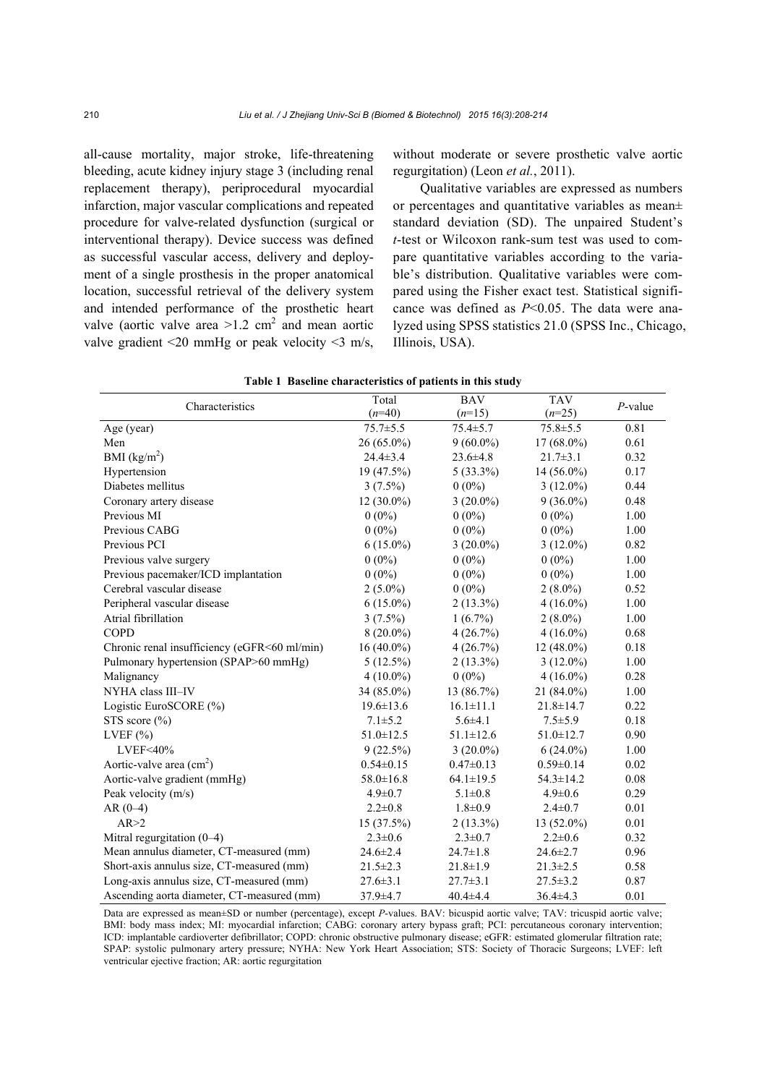all-cause mortality, major stroke, life-threatening bleeding, acute kidney injury stage 3 (including renal replacement therapy), periprocedural myocardial infarction, major vascular complications and repeated procedure for valve-related dysfunction (surgical or interventional therapy). Device success was defined as successful vascular access, delivery and deployment of a single prosthesis in the proper anatomical location, successful retrieval of the delivery system and intended performance of the prosthetic heart valve (aortic valve area  $>1.2$  cm<sup>2</sup> and mean aortic valve gradient <20 mmHg or peak velocity <3 m/s,

without moderate or severe prosthetic valve aortic regurgitation) (Leon *et al.*, 2011).

Qualitative variables are expressed as numbers or percentages and quantitative variables as mean± standard deviation (SD). The unpaired Student's *t*-test or Wilcoxon rank-sum test was used to compare quantitative variables according to the variable's distribution. Qualitative variables were compared using the Fisher exact test. Statistical significance was defined as *P*<0.05. The data were analyzed using SPSS statistics 21.0 (SPSS Inc., Chicago, Illinois, USA).

| Characteristics                              | Total           | <b>BAV</b>      | <b>TAV</b>      | $P$ -value |  |
|----------------------------------------------|-----------------|-----------------|-----------------|------------|--|
|                                              | $(n=40)$        | $(n=15)$        | $(n=25)$        |            |  |
| Age (year)                                   | $75.7 \pm 5.5$  | $75.4 \pm 5.7$  | $75.8 \pm 5.5$  | 0.81       |  |
| Men                                          | $26(65.0\%)$    | $9(60.0\%)$     | 17 (68.0%)      | 0.61       |  |
| BMI $(kg/m2)$                                | $24.4 \pm 3.4$  | $23.6 \pm 4.8$  | $21.7 \pm 3.1$  | 0.32       |  |
| Hypertension                                 | 19 (47.5%)      | $5(33.3\%)$     | 14 (56.0%)      | 0.17       |  |
| Diabetes mellitus                            | $3(7.5\%)$      | $0(0\%)$        | $3(12.0\%)$     | 0.44       |  |
| Coronary artery disease                      | $12(30.0\%)$    | $3(20.0\%)$     | $9(36.0\%)$     | 0.48       |  |
| Previous MI                                  | $0(0\%)$        | $0(0\%)$        | $0(0\%)$        | 1.00       |  |
| Previous CABG                                | $0(0\%)$        | $0(0\%)$        | $0(0\%)$        | 1.00       |  |
| Previous PCI                                 | $6(15.0\%)$     | $3(20.0\%)$     | $3(12.0\%)$     | 0.82       |  |
| Previous valve surgery                       | $0(0\%)$        | $0(0\%)$        | $0(0\%)$        | 1.00       |  |
| Previous pacemaker/ICD implantation          | $0(0\%)$        | $0(0\%)$        | $0(0\%)$        | 1.00       |  |
| Cerebral vascular disease                    | $2(5.0\%)$      | $0(0\%)$        | $2(8.0\%)$      | 0.52       |  |
| Peripheral vascular disease                  | $6(15.0\%)$     | $2(13.3\%)$     | $4(16.0\%)$     | 1.00       |  |
| Atrial fibrillation                          | $3(7.5\%)$      | $1(6.7\%)$      | $2(8.0\%)$      | 1.00       |  |
| COPD                                         | $8(20.0\%)$     | 4(26.7%)        | $4(16.0\%)$     | 0.68       |  |
| Chronic renal insufficiency (eGFR<60 ml/min) | $16(40.0\%)$    | 4(26.7%)        | 12 (48.0%)      | 0.18       |  |
| Pulmonary hypertension (SPAP>60 mmHg)        | $5(12.5\%)$     | $2(13.3\%)$     | $3(12.0\%)$     | 1.00       |  |
| Malignancy                                   | $4(10.0\%)$     | $0(0\%)$        | $4(16.0\%)$     | 0.28       |  |
| NYHA class III-IV                            | 34 (85.0%)      | 13 (86.7%)      | 21 (84.0%)      | 1.00       |  |
| Logistic EuroSCORE (%)                       | $19.6 \pm 13.6$ | $16.1 \pm 11.1$ | $21.8 \pm 14.7$ | 0.22       |  |
| STS score $(\% )$                            | $7.1 \pm 5.2$   | $5.6{\pm}4.1$   | $7.5 \pm 5.9$   | 0.18       |  |
| LVEF $(\% )$                                 | $51.0 \pm 12.5$ | $51.1 \pm 12.6$ | $51.0 \pm 12.7$ | 0.90       |  |
| LVEF<40%                                     | 9(22.5%)        | $3(20.0\%)$     | $6(24.0\%)$     | 1.00       |  |
| Aortic-valve area $(cm2)$                    | $0.54 \pm 0.15$ | $0.47 \pm 0.13$ | $0.59 \pm 0.14$ | 0.02       |  |
| Aortic-valve gradient (mmHg)                 | $58.0 \pm 16.8$ | $64.1 \pm 19.5$ | $54.3 \pm 14.2$ | 0.08       |  |
| Peak velocity (m/s)                          | $4.9 \pm 0.7$   | $5.1 \pm 0.8$   | $4.9 \pm 0.6$   | 0.29       |  |
| $AR(0-4)$                                    | $2.2 \pm 0.8$   | $1.8 \pm 0.9$   | $2.4 \pm 0.7$   | 0.01       |  |
| AR > 2                                       | 15(37.5%)       | $2(13.3\%)$     | $13(52.0\%)$    | 0.01       |  |
| Mitral regurgitation (0-4)                   | $2.3 \pm 0.6$   | $2.3 \pm 0.7$   | $2.2 \pm 0.6$   | 0.32       |  |
| Mean annulus diameter, CT-measured (mm)      | $24.6 \pm 2.4$  | $24.7 \pm 1.8$  | $24.6 \pm 2.7$  | 0.96       |  |
| Short-axis annulus size, CT-measured (mm)    | $21.5 \pm 2.3$  | $21.8 \pm 1.9$  | $21.3 \pm 2.5$  | 0.58       |  |
| Long-axis annulus size, CT-measured (mm)     | $27.6 \pm 3.1$  | $27.7 \pm 3.1$  | $27.5 \pm 3.2$  | 0.87       |  |
| Ascending aorta diameter, CT-measured (mm)   | 37.9±4.7        | $40.4 \pm 4.4$  | $36.4 \pm 4.3$  | 0.01       |  |

| Table 1 Baseline characteristics of patients in this study |  |
|------------------------------------------------------------|--|
|                                                            |  |

Data are expressed as mean±SD or number (percentage), except *P*-values. BAV: bicuspid aortic valve; TAV: tricuspid aortic valve; BMI: body mass index; MI: myocardial infarction; CABG: coronary artery bypass graft; PCI: percutaneous coronary intervention; ICD: implantable cardioverter defibrillator; COPD: chronic obstructive pulmonary disease; eGFR: estimated glomerular filtration rate; SPAP: systolic pulmonary artery pressure; NYHA: New York Heart Association; STS: Society of Thoracic Surgeons; LVEF: left ventricular ejective fraction; AR: aortic regurgitation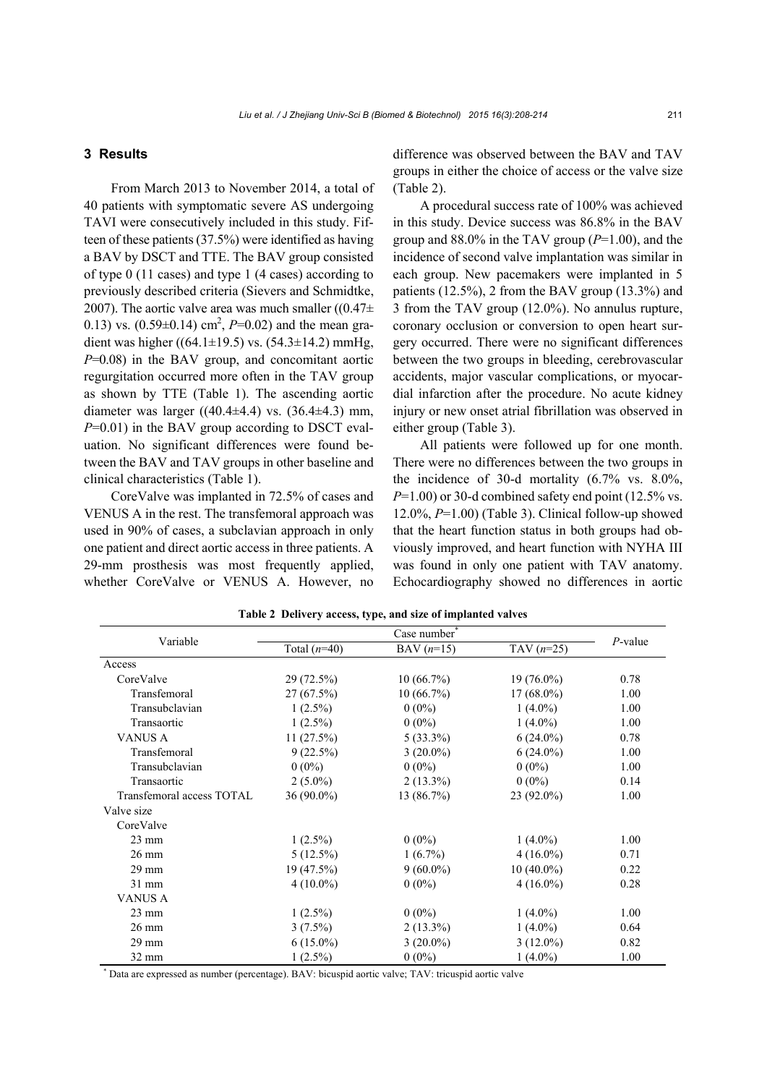## **3 Results**

From March 2013 to November 2014, a total of 40 patients with symptomatic severe AS undergoing TAVI were consecutively included in this study. Fifteen of these patients (37.5%) were identified as having a BAV by DSCT and TTE. The BAV group consisted of type 0 (11 cases) and type 1 (4 cases) according to previously described criteria (Sievers and Schmidtke, 2007). The aortic valve area was much smaller  $((0.47 \pm$ 0.13) vs.  $(0.59\pm0.14)$  cm<sup>2</sup>,  $P=0.02$ ) and the mean gradient was higher ((64.1±19.5) vs. (54.3±14.2) mmHg, *P*=0.08) in the BAV group, and concomitant aortic regurgitation occurred more often in the TAV group as shown by TTE (Table 1). The ascending aortic diameter was larger  $((40.4 \pm 4.4)$  vs.  $(36.4 \pm 4.3)$  mm, *P*=0.01) in the BAV group according to DSCT evaluation. No significant differences were found between the BAV and TAV groups in other baseline and clinical characteristics (Table 1).

CoreValve was implanted in 72.5% of cases and VENUS A in the rest. The transfemoral approach was used in 90% of cases, a subclavian approach in only one patient and direct aortic access in three patients. A 29-mm prosthesis was most frequently applied, whether CoreValve or VENUS A. However, no difference was observed between the BAV and TAV groups in either the choice of access or the valve size (Table 2).

A procedural success rate of 100% was achieved in this study. Device success was 86.8% in the BAV group and 88.0% in the TAV group (*P*=1.00), and the incidence of second valve implantation was similar in each group. New pacemakers were implanted in 5 patients (12.5%), 2 from the BAV group (13.3%) and 3 from the TAV group (12.0%). No annulus rupture, coronary occlusion or conversion to open heart surgery occurred. There were no significant differences between the two groups in bleeding, cerebrovascular accidents, major vascular complications, or myocardial infarction after the procedure. No acute kidney injury or new onset atrial fibrillation was observed in either group (Table 3).

All patients were followed up for one month. There were no differences between the two groups in the incidence of 30-d mortality (6.7% vs. 8.0%,  $P=1.00$ ) or 30-d combined safety end point (12.5% vs. 12.0%, *P*=1.00) (Table 3). Clinical follow-up showed that the heart function status in both groups had obviously improved, and heart function with NYHA III was found in only one patient with TAV anatomy. Echocardiography showed no differences in aortic

|                           | Case number    |                           |              |            |
|---------------------------|----------------|---------------------------|--------------|------------|
| Variable                  | Total $(n=40)$ | BAV $(n=15)$              | TAV $(n=25)$ | $P$ -value |
| Access                    |                |                           |              |            |
| CoreValve                 | 29 (72.5%)     | $10(66.7\%)$              | $19(76.0\%)$ |            |
| Transfemoral              | $27(67.5\%)$   | $10(66.7\%)$              | $17(68.0\%)$ | 1.00       |
| Transubclavian            | $1(2.5\%)$     | $0(0\%)$                  | $1(4.0\%)$   | 1.00       |
| Transaortic               | $1(2.5\%)$     | $0(0\%)$                  | $1(4.0\%)$   | 1.00       |
| <b>VANUS A</b>            | 11(27.5%)      | $5(33.3\%)$               | $6(24.0\%)$  | 0.78       |
| Transfemoral              | 9(22.5%)       | $3(20.0\%)$               | $6(24.0\%)$  | 1.00       |
| Transubclavian            | $0(0\%)$       | $0(0\%)$                  | $0(0\%)$     | 1.00       |
| Transaortic               | $2(5.0\%)$     | $2(13.3\%)$               | $0(0\%)$     | 0.14       |
| Transfemoral access TOTAL | $36(90.0\%)$   | 13 (86.7%)                | $23(92.0\%)$ | 1.00       |
| Valve size                |                |                           |              |            |
| CoreValve                 |                |                           |              |            |
| $23 \text{ mm}$           | $1(2.5\%)$     | $0(0\%)$                  | $1(4.0\%)$   | 1.00       |
| $26 \text{ mm}$           | $5(12.5\%)$    | $1(6.7\%)$                | $4(16.0\%)$  | 0.71       |
| 29 mm                     | 19(47.5%)      | $9(60.0\%)$               | $10(40.0\%)$ | 0.22       |
| $31$ mm                   | $4(10.0\%)$    | $0(0\%)$                  | $4(16.0\%)$  | 0.28       |
| <b>VANUS A</b>            |                |                           |              |            |
| $23 \text{ mm}$           | $1(2.5\%)$     | $0(0\%)$                  | $1(4.0\%)$   | 1.00       |
| $26 \text{ mm}$           | $3(7.5\%)$     | $2(13.3\%)$<br>$1(4.0\%)$ |              | 0.64       |
| 29 mm                     | $6(15.0\%)$    | $3(20.0\%)$               | $3(12.0\%)$  | 0.82       |
| 32 mm                     | $1(2.5\%)$     | $0(0\%)$                  | $1(4.0\%)$   | 1.00       |

**Table 2 Delivery access, type, and size of implanted valves**

\* Data are expressed as number (percentage). BAV: bicuspid aortic valve; TAV: tricuspid aortic valve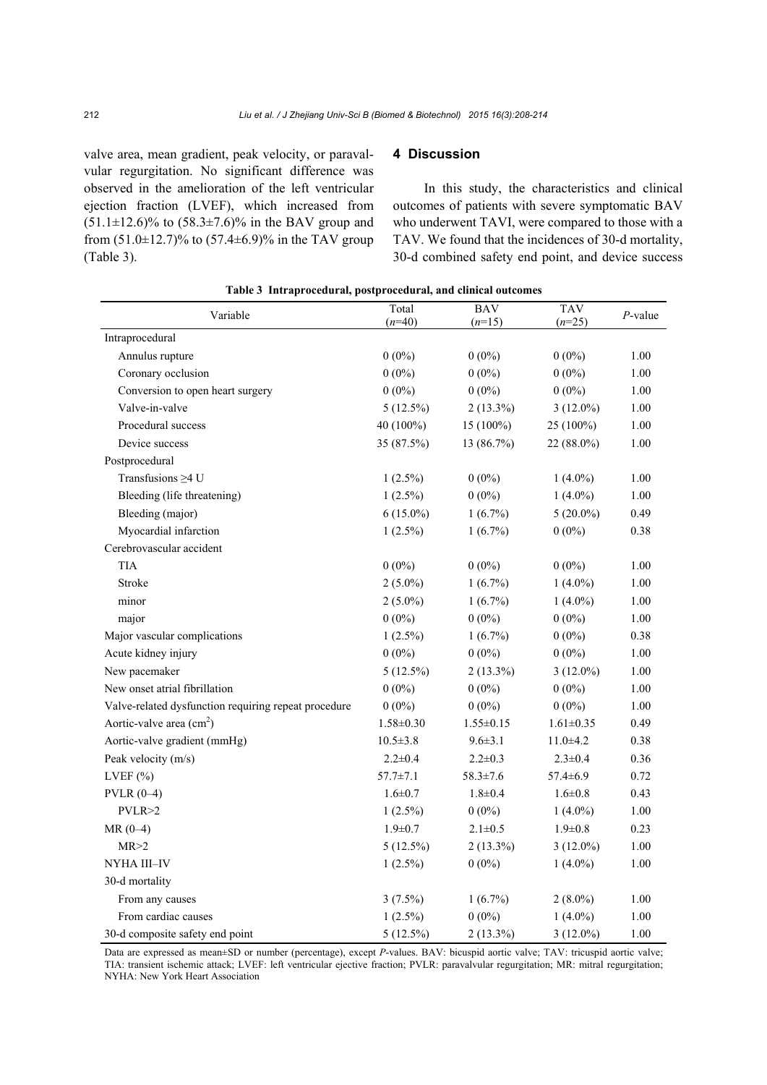valve area, mean gradient, peak velocity, or paravalvular regurgitation. No significant difference was observed in the amelioration of the left ventricular ejection fraction (LVEF), which increased from  $(51.1 \pm 12.6)\%$  to  $(58.3 \pm 7.6)\%$  in the BAV group and from  $(51.0 \pm 12.7)$ % to  $(57.4 \pm 6.9)$ % in the TAV group (Table 3).

### **4 Discussion**

In this study, the characteristics and clinical outcomes of patients with severe symptomatic BAV who underwent TAVI, were compared to those with a TAV. We found that the incidences of 30-d mortality, 30-d combined safety end point, and device success

| Variable                                             | Total<br>$(n=40)$ | <b>BAV</b><br>$(n=15)$ | <b>TAV</b><br>$(n=25)$ | $P$ -value |
|------------------------------------------------------|-------------------|------------------------|------------------------|------------|
| Intraprocedural                                      |                   |                        |                        |            |
| Annulus rupture                                      | $0(0\%)$          | $0(0\%)$               | $0(0\%)$               | 1.00       |
| Coronary occlusion                                   | $0(0\%)$          | $0(0\%)$               | $0(0\%)$               | 1.00       |
| Conversion to open heart surgery                     | $0(0\%)$          | $0(0\%)$               | $0(0\%)$               | 1.00       |
| Valve-in-valve                                       | $5(12.5\%)$       | $2(13.3\%)$            | $3(12.0\%)$            | 1.00       |
| Procedural success                                   | 40 (100%)         | 15 (100%)              | 25 (100%)              | 1.00       |
| Device success                                       | 35 (87.5%)        | 13 (86.7%)             | 22 (88.0%)             | 1.00       |
| Postprocedural                                       |                   |                        |                        |            |
| Transfusions $\geq 4$ U                              | $1(2.5\%)$        | $0(0\%)$               | $1(4.0\%)$             | 1.00       |
| Bleeding (life threatening)                          | $1(2.5\%)$        | $0(0\%)$               | $1(4.0\%)$             | $1.00\,$   |
| Bleeding (major)                                     | $6(15.0\%)$       | $1(6.7\%)$             | $5(20.0\%)$            | 0.49       |
| Myocardial infarction                                | $1(2.5\%)$        | $1(6.7\%)$             | $0(0\%)$               | 0.38       |
| Cerebrovascular accident                             |                   |                        |                        |            |
| <b>TIA</b>                                           | $0(0\%)$          | $0(0\%)$               | $0(0\%)$               | 1.00       |
| Stroke                                               | $2(5.0\%)$        | $1(6.7\%)$             | $1(4.0\%)$             | 1.00       |
| minor                                                | $2(5.0\%)$        | $1(6.7\%)$             | $1(4.0\%)$             | 1.00       |
| major                                                | $0(0\%)$          | $0(0\%)$               | $0(0\%)$               | 1.00       |
| Major vascular complications                         | $1(2.5\%)$        | $1(6.7\%)$             | $0(0\%)$               | 0.38       |
| Acute kidney injury                                  | $0(0\%)$          | $0(0\%)$               | $0(0\%)$               | 1.00       |
| New pacemaker                                        | $5(12.5\%)$       | $2(13.3\%)$            | $3(12.0\%)$            | 1.00       |
| New onset atrial fibrillation                        | $0(0\%)$          | $0(0\%)$               | $0(0\%)$               | 1.00       |
| Valve-related dysfunction requiring repeat procedure | $0(0\%)$          | $0(0\%)$               | $0(0\%)$               | 1.00       |
| Aortic-valve area $(cm2)$                            | $1.58 \pm 0.30$   | $1.55 \pm 0.15$        | $1.61 \pm 0.35$        | 0.49       |
| Aortic-valve gradient (mmHg)                         | $10.5 \pm 3.8$    | $9.6 \pm 3.1$          | $11.0 + 4.2$           | 0.38       |
| Peak velocity (m/s)                                  | $2.2 \pm 0.4$     | $2.2 \pm 0.3$          | $2.3 \pm 0.4$          | 0.36       |
| LVEF $(\% )$                                         | $57.7 \pm 7.1$    | $58.3 \pm 7.6$         | $57.4 \pm 6.9$         | 0.72       |
| $PVLR(0-4)$                                          | $1.6 \pm 0.7$     | $1.8 \pm 0.4$          | $1.6 \pm 0.8$          | 0.43       |
| PVLR > 2                                             | $1(2.5\%)$        | $0(0\%)$               | $1(4.0\%)$             | 1.00       |
| $MR(0-4)$                                            | $1.9 \pm 0.7$     | $2.1 \pm 0.5$          | $1.9 \pm 0.8$          | 0.23       |
| MR > 2                                               | $5(12.5\%)$       | $2(13.3\%)$            | $3(12.0\%)$            | 1.00       |
| NYHA III–IV                                          | $1(2.5\%)$        | $0(0\%)$               | $1(4.0\%)$             | 1.00       |
| 30-d mortality                                       |                   |                        |                        |            |
| From any causes                                      | $3(7.5\%)$        | $1(6.7\%)$             | $2(8.0\%)$             | 1.00       |
| From cardiac causes                                  | $1(2.5\%)$        | $0(0\%)$               | $1(4.0\%)$             | 1.00       |
| 30-d composite safety end point                      | $5(12.5\%)$       | $2(13.3\%)$            | $3(12.0\%)$            | 1.00       |

**Table 3 Intraprocedural, postprocedural, and clinical outcomes**

Data are expressed as mean±SD or number (percentage), except *P*-values. BAV: bicuspid aortic valve; TAV: tricuspid aortic valve; TIA: transient ischemic attack; LVEF: left ventricular ejective fraction; PVLR: paravalvular regurgitation; MR: mitral regurgitation; NYHA: New York Heart Association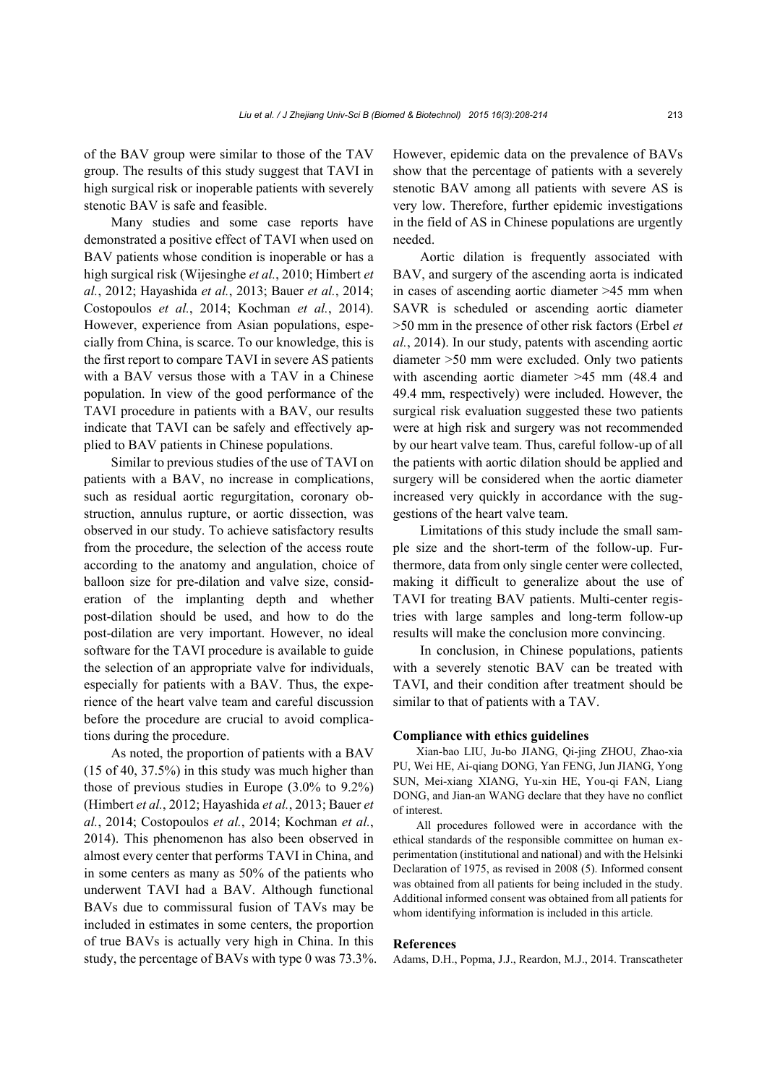of the BAV group were similar to those of the TAV group. The results of this study suggest that TAVI in high surgical risk or inoperable patients with severely stenotic BAV is safe and feasible.

Many studies and some case reports have demonstrated a positive effect of TAVI when used on BAV patients whose condition is inoperable or has a high surgical risk (Wijesinghe *et al.*, 2010; Himbert *et al.*, 2012; Hayashida *et al.*, 2013; Bauer *et al.*, 2014; Costopoulos *et al.*, 2014; Kochman *et al.*, 2014). However, experience from Asian populations, especially from China, is scarce. To our knowledge, this is the first report to compare TAVI in severe AS patients with a BAV versus those with a TAV in a Chinese population. In view of the good performance of the TAVI procedure in patients with a BAV, our results indicate that TAVI can be safely and effectively applied to BAV patients in Chinese populations.

Similar to previous studies of the use of TAVI on patients with a BAV, no increase in complications, such as residual aortic regurgitation, coronary obstruction, annulus rupture, or aortic dissection, was observed in our study. To achieve satisfactory results from the procedure, the selection of the access route according to the anatomy and angulation, choice of balloon size for pre-dilation and valve size, consideration of the implanting depth and whether post-dilation should be used, and how to do the post-dilation are very important. However, no ideal software for the TAVI procedure is available to guide the selection of an appropriate valve for individuals, especially for patients with a BAV. Thus, the experience of the heart valve team and careful discussion before the procedure are crucial to avoid complications during the procedure.

As noted, the proportion of patients with a BAV (15 of 40, 37.5%) in this study was much higher than those of previous studies in Europe (3.0% to 9.2%) (Himbert *et al.*, 2012; Hayashida *et al.*, 2013; Bauer *et al.*, 2014; Costopoulos *et al.*, 2014; Kochman *et al.*, 2014). This phenomenon has also been observed in almost every center that performs TAVI in China, and in some centers as many as 50% of the patients who underwent TAVI had a BAV. Although functional BAVs due to commissural fusion of TAVs may be included in estimates in some centers, the proportion of true BAVs is actually very high in China. In this study, the percentage of BAVs with type 0 was 73.3%. However, epidemic data on the prevalence of BAVs show that the percentage of patients with a severely stenotic BAV among all patients with severe AS is very low. Therefore, further epidemic investigations in the field of AS in Chinese populations are urgently needed.

Aortic dilation is frequently associated with BAV, and surgery of the ascending aorta is indicated in cases of ascending aortic diameter >45 mm when SAVR is scheduled or ascending aortic diameter >50 mm in the presence of other risk factors (Erbel *et al.*, 2014). In our study, patents with ascending aortic diameter >50 mm were excluded. Only two patients with ascending aortic diameter >45 mm (48.4 and 49.4 mm, respectively) were included. However, the surgical risk evaluation suggested these two patients were at high risk and surgery was not recommended by our heart valve team. Thus, careful follow-up of all the patients with aortic dilation should be applied and surgery will be considered when the aortic diameter increased very quickly in accordance with the suggestions of the heart valve team.

Limitations of this study include the small sample size and the short-term of the follow-up. Furthermore, data from only single center were collected, making it difficult to generalize about the use of TAVI for treating BAV patients. Multi-center registries with large samples and long-term follow-up results will make the conclusion more convincing.

In conclusion, in Chinese populations, patients with a severely stenotic BAV can be treated with TAVI, and their condition after treatment should be similar to that of patients with a TAV.

#### **Compliance with ethics guidelines**

Xian-bao LIU, Ju-bo JIANG, Qi-jing ZHOU, Zhao-xia PU, Wei HE, Ai-qiang DONG, Yan FENG, Jun JIANG, Yong SUN, Mei-xiang XIANG, Yu-xin HE, You-qi FAN, Liang DONG, and Jian-an WANG declare that they have no conflict of interest.

All procedures followed were in accordance with the ethical standards of the responsible committee on human experimentation (institutional and national) and with the Helsinki Declaration of 1975, as revised in 2008 (5). Informed consent was obtained from all patients for being included in the study. Additional informed consent was obtained from all patients for whom identifying information is included in this article.

#### **References**

Adams, D.H., Popma, J.J., Reardon, M.J., 2014. Transcatheter